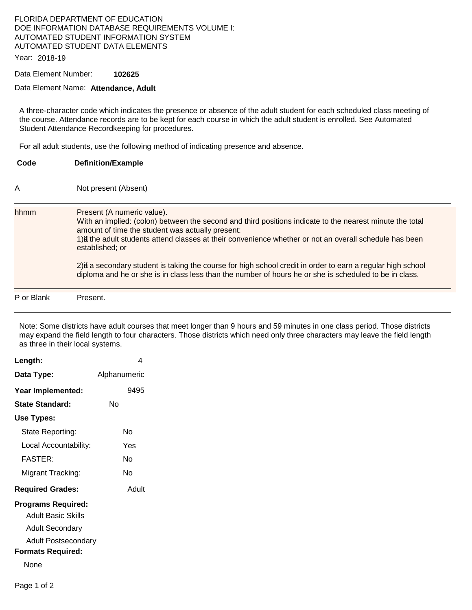## FLORIDA DEPARTMENT OF EDUCATION DOE INFORMATION DATABASE REQUIREMENTS VOLUME I: AUTOMATED STUDENT INFORMATION SYSTEM AUTOMATED STUDENT DATA ELEMENTS

Year: 2018-19

Data Element Number: **102625** 

## Data Element Name: **Attendance, Adult**

A three-character code which indicates the presence or absence of the adult student for each scheduled class meeting of the course. Attendance records are to be kept for each course in which the adult student is enrolled. See Automated Student Attendance Recordkeeping for procedures.

For all adult students, use the following method of indicating presence and absence.

| Code       | <b>Definition/Example</b>                                                                                                                                                                                                                                                                                                                                                                                                                                                                                                                           |
|------------|-----------------------------------------------------------------------------------------------------------------------------------------------------------------------------------------------------------------------------------------------------------------------------------------------------------------------------------------------------------------------------------------------------------------------------------------------------------------------------------------------------------------------------------------------------|
| A          | Not present (Absent)                                                                                                                                                                                                                                                                                                                                                                                                                                                                                                                                |
| hhmm       | Present (A numeric value).<br>With an implied: (colon) between the second and third positions indicate to the nearest minute the total<br>amount of time the student was actually present:<br>1) at the adult students attend classes at their convenience whether or not an overall schedule has been<br>established; or<br>2) if a secondary student is taking the course for high school credit in order to earn a regular high school<br>diploma and he or she is in class less than the number of hours he or she is scheduled to be in class. |
| P or Blank | Present.                                                                                                                                                                                                                                                                                                                                                                                                                                                                                                                                            |

Note: Some districts have adult courses that meet longer than 9 hours and 59 minutes in one class period. Those districts may expand the field length to four characters. Those districts which need only three characters may leave the field length as three in their local systems.

| Length:                                                                                                                              | 4            |
|--------------------------------------------------------------------------------------------------------------------------------------|--------------|
| Data Type:                                                                                                                           | Alphanumeric |
| Year Implemented:                                                                                                                    | 9495         |
| <b>State Standard:</b>                                                                                                               | N٥           |
| Use Types:                                                                                                                           |              |
| State Reporting:                                                                                                                     | N٥           |
| Local Accountability:                                                                                                                | Yes          |
| FASTFR·                                                                                                                              | N٥           |
| Migrant Tracking:                                                                                                                    | N٥           |
| <b>Required Grades:</b>                                                                                                              | Adult        |
| <b>Programs Required:</b><br><b>Adult Basic Skills</b><br>Adult Secondary<br>Adult Postsecondary<br><b>Formats Required:</b><br>None |              |
|                                                                                                                                      |              |